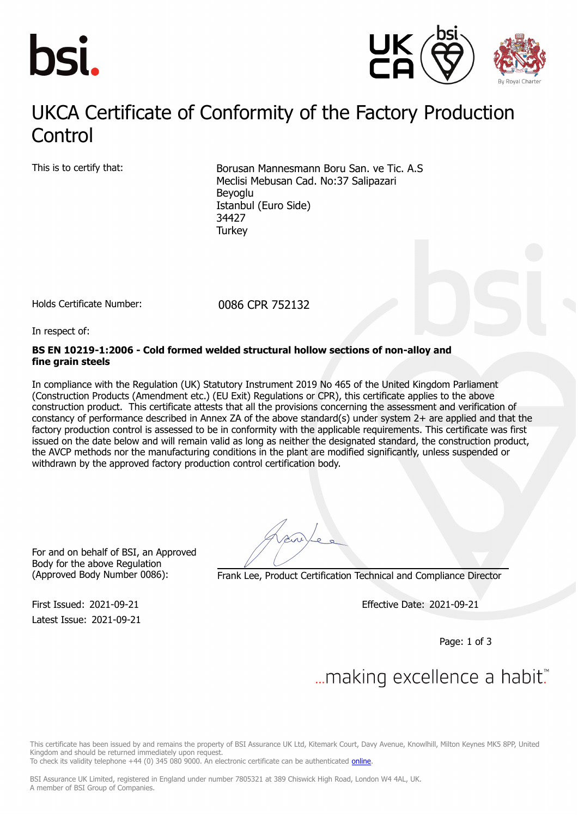



### UKCA Contificate of Conformity of the Factory Production Control UKCA Certificate of Conformity of the Factory Production

This is to certify that: Borusan Mannesmann Boru San. ve Tic. A.S Meclisi Mebusan Cad. No:37 Salipazari Beyoglu Istanbul (Euro Side) 34427 **Turkey** 

Holds Certificate Number: 0086 CPR 752132

In respect of:

#### **BS EN 10219-1:2006 - Cold formed welded structural hollow sections of non-alloy and fine grain steels**

In compliance with the Regulation (UK) Statutory Instrument 2019 No 465 of the United Kingdom Parliament (Construction Products (Amendment etc.) (EU Exit) Regulations or CPR), this certificate applies to the above construction product. This certificate attests that all the provisions concerning the assessment and verification of constancy of performance described in Annex ZA of the above standard(s) under system 2+ are applied and that the factory production control is assessed to be in conformity with the applicable requirements. This certificate was first issued on the date below and will remain valid as long as neither the designated standard, the construction product, the AVCP methods nor the manufacturing conditions in the plant are modified significantly, unless suspended or withdrawn by the approved factory production control certification body.

For and on behalf of BSI, an Approved Body for the above Regulation

Latest Issue: 2021-09-21

(Approved Body Number 0086): Frank Lee, Product Certification Technical and Compliance Director

First Issued: 2021-09-21 Effective Date: 2021-09-21

Page: 1 of 3

# ... making excellence a habit."

This certificate has been issued by and remains the property of BSI Assurance UK Ltd, Kitemark Court, Davy Avenue, Knowlhill, Milton Keynes MK5 8PP, United Kingdom and should be returned immediately upon request.

To check its validity telephone +44 (0) 345 080 9000. An electronic certificate can be authenticated [online](https://pgplus.bsigroup.com/CertificateValidation/CertificateValidator.aspx?CertificateNumber=CPR+752132&ReIssueDate=21%2f09%2f2021&Template=uk).

BSI Assurance UK Limited, registered in England under number 7805321 at 389 Chiswick High Road, London W4 4AL, UK. A member of BSI Group of Companies.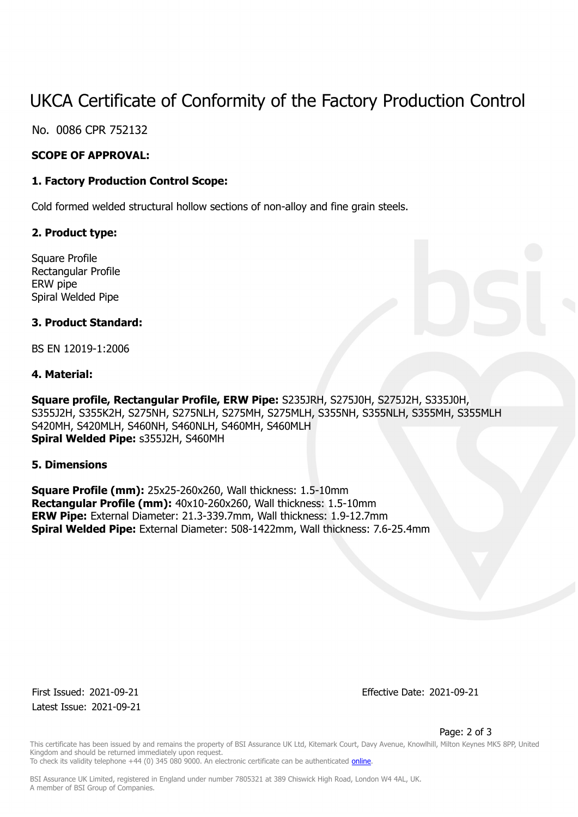## UKCA Certificate of Conformity of the Factory Production Control

No. 0086 CPR 752132

#### **SCOPE OF APPROVAL:**

#### **1. Factory Production Control Scope:**

Cold formed welded structural hollow sections of non-alloy and fine grain steels.

#### **2. Product type:**

Square Profile Rectangular Profile ERW pipe Spiral Welded Pipe

#### **3. Product Standard:**

BS EN 12019-1:2006

#### **4. Material:**

**Square profile, Rectangular Profile, ERW Pipe:** S235JRH, S275J0H, S275J2H, S335J0H, S355J2H, S355K2H, S275NH, S275NLH, S275MH, S275MLH, S355NH, S355NLH, S355MH, S355MLH S420MH, S420MLH, S460NH, S460NLH, S460MH, S460MLH **Spiral Welded Pipe:** s355J2H, S460MH

#### **5. Dimensions**

**Square Profile (mm):** 25x25-260x260, Wall thickness: 1.5-10mm **Rectangular Profile (mm):** 40x10-260x260, Wall thickness: 1.5-10mm **ERW Pipe:** External Diameter: 21.3-339.7mm, Wall thickness: 1.9-12.7mm **Spiral Welded Pipe:** External Diameter: 508-1422mm, Wall thickness: 7.6-25.4mm

Latest Issue: 2021-09-21

First Issued: 2021-09-21 Effective Date: 2021-09-21

Page: 2 of 3

This certificate has been issued by and remains the property of BSI Assurance UK Ltd, Kitemark Court, Davy Avenue, Knowlhill, Milton Keynes MK5 8PP, United Kingdom and should be returned immediately upon request. To check its validity telephone +44 (0) 345 080 9000. An electronic certificate can be authenticated *[online](https://pgplus.bsigroup.com/CertificateValidation/CertificateValidator.aspx?CertificateNumber=CPR+752132&ReIssueDate=21%2f09%2f2021&Template=uk)*.

BSI Assurance UK Limited, registered in England under number 7805321 at 389 Chiswick High Road, London W4 4AL, UK. A member of BSI Group of Companies.